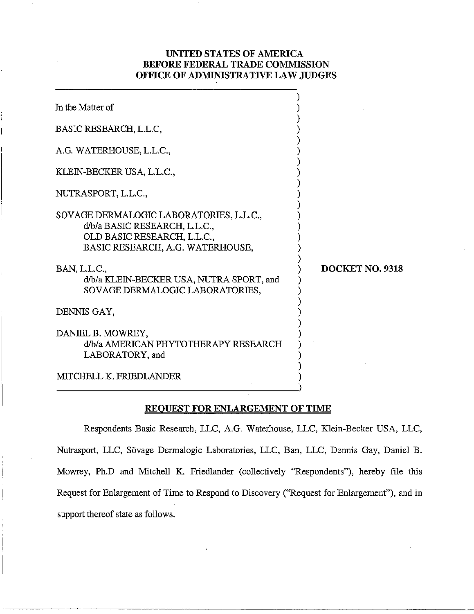# **UNITED STATES OF AMERICA BEFORE FEDERAL TRADE COMMISSION OFFICE OF ADMINISTRATIVE LAW JUDGES**

| In the Matter of                                                                                                                            |                 |
|---------------------------------------------------------------------------------------------------------------------------------------------|-----------------|
| BASIC RESEARCH, L.L.C,                                                                                                                      |                 |
| A.G. WATERHOUSE, L.L.C.,                                                                                                                    |                 |
| KLEIN-BECKER USA, L.L.C.,                                                                                                                   |                 |
| NUTRASPORT, L.L.C.,                                                                                                                         |                 |
| SOVAGE DERMALOGIC LABORATORIES, L.L.C.,<br>d/b/a BASIC RESEARCH, L.L.C.,<br>OLD BASIC RESEARCH, L.L.C.,<br>BASIC RESEARCH, A.G. WATERHOUSE, |                 |
| BAN, L.L.C.,<br>d/b/a KLEIN-BECKER USA, NUTRA SPORT, and<br>SOVAGE DERMALOGIC LABORATORIES,                                                 | DOCKET NO. 9318 |
| DENNIS GAY,                                                                                                                                 |                 |
| DANIEL B. MOWREY,<br>d/b/a AMERICAN PHYTOTHERAPY RESEARCH<br>LABORATORY, and                                                                |                 |
| MITCHELL K. FRIEDLANDER                                                                                                                     |                 |

## **REOUEST FOR ENLARGEMENT OF TIME**

Respondents Basic Research, LLC, A.G. Waterhouse, LLC, Klein-Becker USA, LLC, Nutrasport, LLC, Sövage Dermalogic Laboratories, LLC, Ban, LLC, Dennis Gay, Daniel B. Mowrey, Ph.D and Mitchell K. Friedlander (collectively "Respondents"), hereby file this Request for Enlargement of Time to Respond to Discovery ("Request for Enlargement"), and in support thereof state as follows.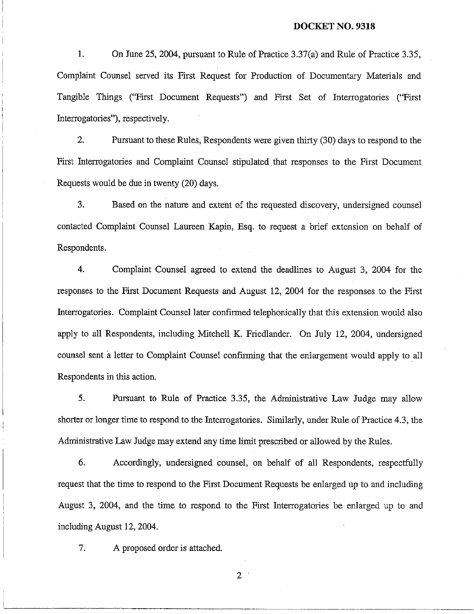#### **DOCKET NO. 9318**

**1.** On June 25, 2004, pursuant to Rule of Practice 3.37(a) and Rule of Practice 3.35, Complaint Counsel served its First Request for Production of Documentary Materials and Tangible Things ("First Document Requests") and First Set of Interrogatories ("First Interrogatories"), respectively.

2. Pursuant to these Rules, Respondents were given thirty (30) days to respond to the First Interrogatories and Complaint Counsel stipulated that responses to the First Document Requests would be due in twenty (20) days.

<sup>I</sup>3. Based on the nature and extent of the requested discovery, undersigned counsel contacted Complaint Counsel Laureen Kapin, Esq. to request a brief extension on behalf oi Respondents.

**4.** Complaint Counsel agreed to extend the deadlines to August 3, 2004 for the responses to the First Document Requests and August 12, 2004 for the responses to the First Interrogatories. Complaint Counsel later confirmed telephonically that this extension would also apply to all Respondents, including Mitchell K. Friedlander. On July 12, 2004, undersigned counsel sent a letter to Complaint Counsel confirming that the enlargement would apply to all Respondents in this action.

5. Pursuant to Rule of Practice 3.35, the Administrative Law Judge may allow shorter or longer time to respond to the Interrogatories. Similarly, under Rule of Practice 4.3, the Administrative Law Judge may extend any time limit prescribed or allowed by the Rules.

*6.* Accordingly, undersigned counsel, on behalf of all Respondents, respectfully request that the time to respond to the First Document Requests be enlarged up to and including August 3, 2004, and the time to respond to the First Interrogatories be enlarged up to and including August 12, 2004.

7. A proposed order is attached.

I

i

I

 $\overline{2}$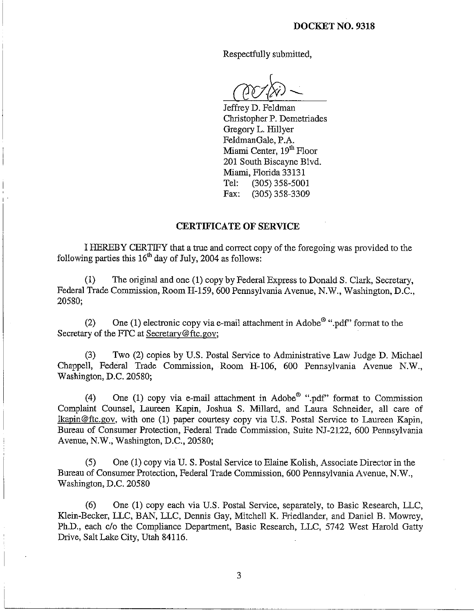Respectfully submitted:

Jeffrey D. Feldman Christopher P. Demetriades Gregory L. Hillyer FeldmanGale, P.A. Miami Center, 19<sup>th</sup> Floor 201 South Biscayne Blvd. Miami, Florida 3313 1 Tel: (305) 358-5001 Fax: (305) 358-3309

#### **CERTIFICATE** OF **SERVICE**

I HEREBY CERTIFY that a true and correct copy of the foregoing was provided to the following parties this  $16<sup>th</sup>$  day of July, 2004 as follows:

(1) The original and one (1) copy by Federal Express to Donald S. Clark, Secretary, Federal Trade Commission, Room H-159, 600 Pennsylvania Avenue, N.W., Washington, D.C., 20580;

(2) One (1) electronic copy via e-mail attachment in Adobe<sup>®</sup> ".pdf" format to the Secretary of the FTC at Secretary@ftc.gov;

(3) Two (2) copies by U.S. Postal Service to Administrative Law Judge D. Michael Chappell, Federal Trade Commission, Room H-106, 600 Pennsylvania Avenue N.W., Washington, D.C. 20580;

(4) One (1) copy via e-mail attachment in Adobe<sup>®</sup> ".pdf" format to Commission Complaint Counsel, Laureen Kapin, Joshua S. Millard, and Laura Schneider, all care of Ikapin@ftc.gov, with one (1) paper courtesy copy via U.S. Postal Service to Laureen Kapin, Bureau of Consumer Protection, Federal Trade Commission, Suite NJ-2122, 600 Pennsylvania Avenue, N.W., Washington, D.C., 20580;

(5) One (1) copy via U. S. Postal Service to Elaine Kolish, Associate Director in the Bureau of Consumer Protection, Federal Trade Commission, 600 Pennsylvania Avenue, N.W., Washington, D.C. 20580

(6) One (1) copy each via U.S. Postal Service, separately, to Basic Research, LLC, Klein-Becker, LLC, BAN, LLC, Dennis Gay, Mitchell K. Friedlander, and Daniel B. Mowrey, Ph.D., each clo the Compliance Department, Basic Research, LLC, 5742 West Harold Gatty Drive, Salt Lake City, Utah 84116.

3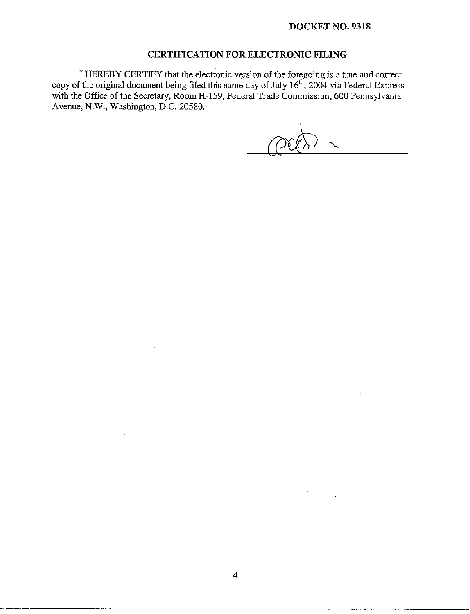### **DOCKET NO. 9318**

### **CERTIFICATION FOR ELECTRONIC FILING**

I HEREBY CERTIFY that the electronic version of the foregoing is a true and correct copy of the original document being filed this same day of July  $16^{\text{m}}$ , 2004 via Federal Express with the Office of the Secretary, Room H-159, Federal Trade Commission, 600 Pennsylvania Avenue, N.W., Washington, D.C. 20580.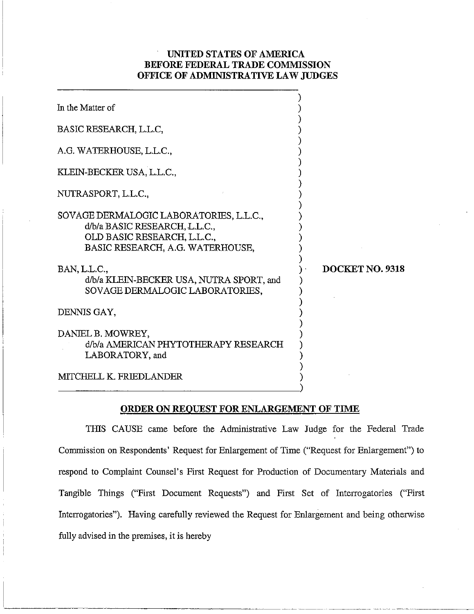# UNITED STATES OF AMERICA BEFORE FEDERAL TRADE COMMISSION OFFICE OF ADMINISTRATIVE LAW JUDGES

| In the Matter of                                                                                                                            |                 |
|---------------------------------------------------------------------------------------------------------------------------------------------|-----------------|
| BASIC RESEARCH, L.L.C,                                                                                                                      |                 |
| A.G. WATERHOUSE, L.L.C.,                                                                                                                    |                 |
| KLEIN-BECKER USA, L.L.C.,                                                                                                                   |                 |
| NUTRASPORT, L.L.C.,                                                                                                                         |                 |
| SOVAGE DERMALOGIC LABORATORIES, L.L.C.,<br>d/b/a BASIC RESEARCH, L.L.C.,<br>OLD BASIC RESEARCH, L.L.C.,<br>BASIC RESEARCH, A.G. WATERHOUSE, |                 |
| BAN, L.L.C.,<br>d/b/a KLEIN-BECKER USA, NUTRA SPORT, and<br>SOVAGE DERMALOGIC LABORATORIES,                                                 | DOCKET NO. 9318 |
| DENNIS GAY.                                                                                                                                 |                 |
| DANIEL B. MOWREY,<br>d/b/a AMERICAN PHYTOTHERAPY RESEARCH<br>LABORATORY, and                                                                |                 |
| <b>MITCHELL K. FRIEDLANDER</b>                                                                                                              |                 |

#### ORDER ON REQUEST FOR ENLARGEMENT OF TIME

THIS CAUSE came before the Administrative Law Judge for the Federal Trade Commission on Respondents' Request for Enlargement of Time ("Request for Enlargement") to respond to Complaint Counsel's First Request for Production of Documentary Materials and Tangible Things ("First Document Requests") and First Set of Interrogatories ("First Interrogatories"). Having carefully reviewed the Request for Enlargement and being otherwise fully advised in the premises, it is hereby